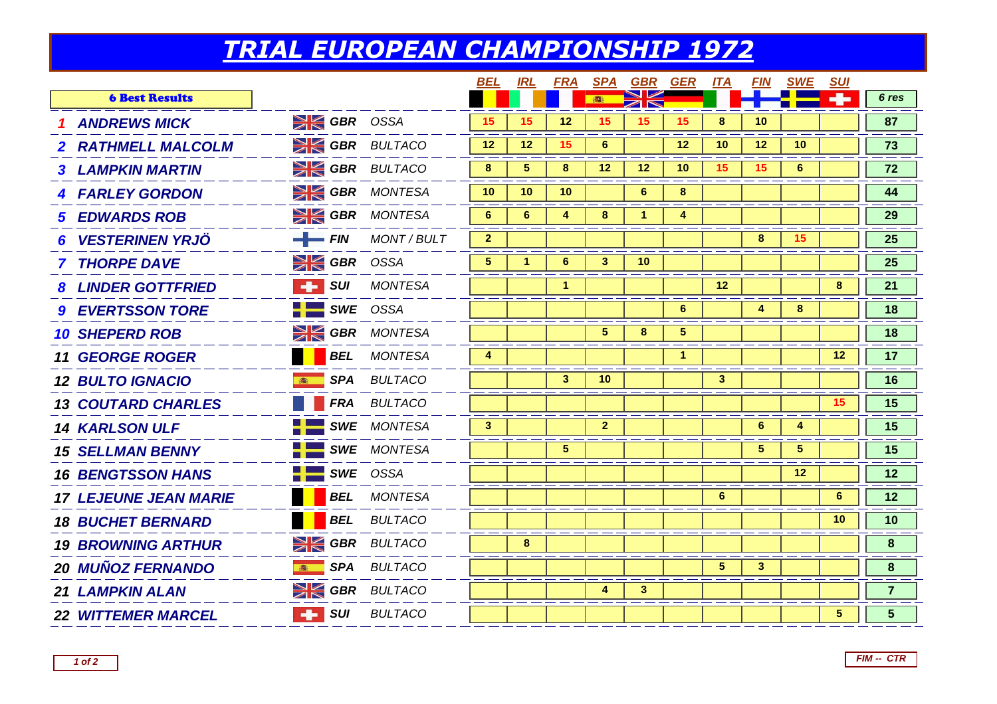## *TRIAL EUROPEAN CHAMPIONSHIP 1972*

|                              |                            |                    | BEL             | <b>IRL</b>      | <b>FRA</b>           |                 | <b>SPA GBR GER</b> |                 | <u>ITA</u>      | <u>FIN</u>      | <b>SWE</b>      | <b>SUI</b>     |                |
|------------------------------|----------------------------|--------------------|-----------------|-----------------|----------------------|-----------------|--------------------|-----------------|-----------------|-----------------|-----------------|----------------|----------------|
| <b>6 Best Results</b>        |                            |                    |                 |                 |                      | <b>B</b>        | ZN                 |                 |                 |                 |                 |                | 6 res          |
| <b>1 ANDREWS MICK</b>        | $\geq$ GBR OSSA            |                    | 15              | 15              | 12                   | 15              | 15 <sup>15</sup>   | 15              | 8               | 10              |                 |                | 87             |
| 2 RATHMELL MALCOLM           | <b>EXECUTE GBR BULTACO</b> |                    | 12 <sup>2</sup> | 12 <sup>2</sup> | 15                   | $6\phantom{1}6$ |                    | 12 <sup>2</sup> | 10 <sup>°</sup> | 12 <sup>2</sup> | 10              |                | 73             |
| <b>3 LAMPKIN MARTIN</b>      | <b>SI GBR</b> BULTACO      |                    | 8               | 5 <sup>5</sup>  | 8                    | 12              | 12 <sup>2</sup>    | 10              | 15              | 15              | $6\phantom{1}$  |                | 72             |
| <b>4 FARLEY GORDON</b>       | <b>SIGER MONTESA</b>       |                    | 10 <sup>°</sup> | 10              | 10                   |                 | 6                  | 8               |                 |                 |                 |                | 44             |
| <b>5 EDWARDS ROB</b>         | <b>SI GBR</b> MONTESA      |                    | 6               | 6               | $\overline{4}$       | 8               | -1.                | 4               |                 |                 |                 |                | 29             |
| 6 VESTERINEN YRJÖ            | $-$ FIN                    | <b>MONT / BULT</b> | $\overline{2}$  |                 |                      |                 |                    |                 |                 | 8               | 15 <sub>1</sub> |                | 25             |
| <b>7 THORPE DAVE</b>         | <b>SK GBR</b> OSSA         |                    | 5               |                 | 6                    | 3               | 10 <sup>°</sup>    |                 |                 |                 |                 |                | 25             |
| <b>8 LINDER GOTTFRIED</b>    | $\blacksquare$ surf        | <b>MONTESA</b>     |                 |                 | $\blacktriangleleft$ |                 |                    |                 | 12              |                 |                 | 8              | 21             |
| <b>9 EVERTSSON TORE</b>      | $SWE$ OSSA                 |                    |                 |                 |                      |                 |                    | 6               |                 | 4               | 8               |                | 18             |
| <b>10 SHEPERD ROB</b>        | <b>SK GBR</b> MONTESA      |                    |                 |                 |                      | 5               | 8                  | $\sqrt{5}$      |                 |                 |                 |                | 18             |
| <b>11 GEORGE ROGER</b>       |                            | <b>BEL</b> MONTESA | 4               |                 |                      |                 |                    | $\mathbf{1}$    |                 |                 |                 | 12             | 17             |
| <b>12 BULTO IGNACIO</b>      |                            | SPA BULTACO        |                 |                 | $\mathbf{3}$         | 10              |                    |                 | $\mathbf{3}$    |                 |                 |                | 16             |
| <b>13 COUTARD CHARLES</b>    |                            | FRA BULTACO        |                 |                 |                      |                 |                    |                 |                 |                 |                 | 15             | 15             |
| <b>14 KARLSON ULF</b>        | SWE MONTESA                |                    | $\mathbf{3}$    |                 |                      | $\mathbf{2}$    |                    |                 |                 | $6^{\circ}$     | 4               |                | 15             |
| <b>15 SELLMAN BENNY</b>      | $\blacksquare$ SWE MONTESA |                    |                 |                 | 5                    |                 |                    |                 |                 | 5 <sup>5</sup>  | 5               |                | 15             |
| <b>16 BENGTSSON HANS</b>     | $\frac{1}{2}$ SWE OSSA     |                    |                 |                 |                      |                 |                    |                 |                 |                 | 12 <sup>°</sup> |                | 12             |
| <b>17 LEJEUNE JEAN MARIE</b> |                            | <b>BEL</b> MONTESA |                 |                 |                      |                 |                    |                 | 6               |                 |                 | $6\phantom{1}$ | 12             |
| <b>18 BUCHET BERNARD</b>     | <b>BEL</b>                 | <b>BULTACO</b>     |                 |                 |                      |                 |                    |                 |                 |                 |                 | 10             | 10             |
| <b>19 BROWNING ARTHUR</b>    | <b>SK GBR</b> BULTACO      |                    |                 | 8               |                      |                 |                    |                 |                 |                 |                 |                | 8              |
| <b>20 MUÑOZ FERNANDO</b>     | <b>SPA</b><br>高            | <b>BULTACO</b>     |                 |                 |                      |                 |                    |                 | 5               | $\mathbf{3}$    |                 |                | 8              |
| <b>21 LAMPKIN ALAN</b>       | <b>SIGBR</b> BULTACO       |                    |                 |                 |                      | 4               | 3 <sup>1</sup>     |                 |                 |                 |                 |                | $\overline{7}$ |
| <b>22 WITTEMER MARCEL</b>    | $\blacksquare$ surf        | <b>BULTACO</b>     |                 |                 |                      |                 |                    |                 |                 |                 |                 | 5              | 5              |